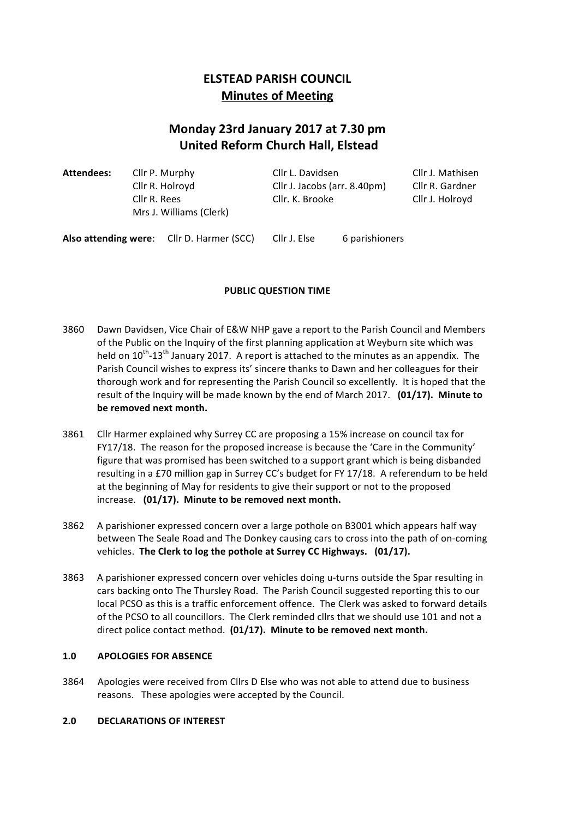## **ELSTEAD PARISH COUNCIL Minutes of Meeting**

# **Monday 23rd January 2017 at 7.30 pm United Reform Church Hall, Elstead**

| Attendees:           | Cllr R. Rees | Cllr P. Murphy<br>Cllr R. Holroyd<br>Mrs J. Williams (Clerk) | Cllr L. Davidsen<br>Cllr J. Jacobs (arr. 8.40pm)<br>Cllr. K. Brooke |                | Cllr J. Mathisen<br>Cllr R. Gardner<br>Cllr J. Holroyd |
|----------------------|--------------|--------------------------------------------------------------|---------------------------------------------------------------------|----------------|--------------------------------------------------------|
| Also attending were: |              | Cllr D. Harmer (SCC)                                         | Cllr J. Else                                                        | 6 parishioners |                                                        |

## **PUBLIC QUESTION TIME**

- 3860 Dawn Davidsen, Vice Chair of E&W NHP gave a report to the Parish Council and Members of the Public on the Inquiry of the first planning application at Weyburn site which was held on  $10^{th}$ -13<sup>th</sup> January 2017. A report is attached to the minutes as an appendix. The Parish Council wishes to express its' sincere thanks to Dawn and her colleagues for their thorough work and for representing the Parish Council so excellently. It is hoped that the result of the Inquiry will be made known by the end of March 2017. **(01/17). Minute to** be removed next month.
- 3861 Cllr Harmer explained why Surrey CC are proposing a 15% increase on council tax for FY17/18. The reason for the proposed increase is because the 'Care in the Community' figure that was promised has been switched to a support grant which is being disbanded resulting in a £70 million gap in Surrey CC's budget for FY 17/18. A referendum to be held at the beginning of May for residents to give their support or not to the proposed increase. (01/17). Minute to be removed next month.
- 3862 A parishioner expressed concern over a large pothole on B3001 which appears half way between The Seale Road and The Donkey causing cars to cross into the path of on-coming vehicles. The Clerk to log the pothole at Surrey CC Highways. (01/17).
- 3863 A parishioner expressed concern over vehicles doing u-turns outside the Spar resulting in cars backing onto The Thursley Road. The Parish Council suggested reporting this to our local PCSO as this is a traffic enforcement offence. The Clerk was asked to forward details of the PCSO to all councillors. The Clerk reminded cllrs that we should use 101 and not a direct police contact method. (01/17). Minute to be removed next month.

## **1.0 APOLOGIES FOR ABSENCE**

3864 Apologies were received from Cllrs D Else who was not able to attend due to business reasons. These apologies were accepted by the Council.

## 2.0 **DECLARATIONS OF INTEREST**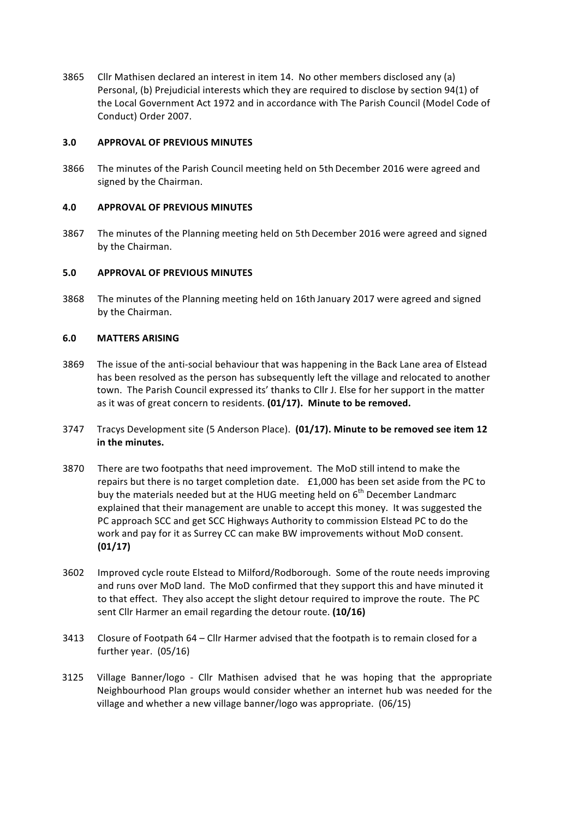3865 Cllr Mathisen declared an interest in item 14. No other members disclosed any (a) Personal, (b) Prejudicial interests which they are required to disclose by section 94(1) of the Local Government Act 1972 and in accordance with The Parish Council (Model Code of Conduct) Order 2007.

## **3.0 APPROVAL OF PREVIOUS MINUTES**

3866 The minutes of the Parish Council meeting held on 5th December 2016 were agreed and signed by the Chairman.

## **4.0 APPROVAL OF PREVIOUS MINUTES**

3867 The minutes of the Planning meeting held on 5th December 2016 were agreed and signed by the Chairman.

## **5.0 APPROVAL OF PREVIOUS MINUTES**

3868 The minutes of the Planning meeting held on 16th January 2017 were agreed and signed by the Chairman.

## **6.0 MATTERS ARISING**

- 3869 The issue of the anti-social behaviour that was happening in the Back Lane area of Elstead has been resolved as the person has subsequently left the village and relocated to another town. The Parish Council expressed its' thanks to Cllr J. Else for her support in the matter as it was of great concern to residents. (01/17). Minute to be removed.
- 3747 Tracys Development site (5 Anderson Place). (01/17). Minute to be removed see item 12 in the minutes.
- 3870 There are two footpaths that need improvement. The MoD still intend to make the repairs but there is no target completion date. £1,000 has been set aside from the PC to buy the materials needed but at the HUG meeting held on  $6<sup>th</sup>$  December Landmarc explained that their management are unable to accept this money. It was suggested the PC approach SCC and get SCC Highways Authority to commission Elstead PC to do the work and pay for it as Surrey CC can make BW improvements without MoD consent. **(01/17)**
- 3602 Improved cycle route Elstead to Milford/Rodborough. Some of the route needs improving and runs over MoD land. The MoD confirmed that they support this and have minuted it to that effect. They also accept the slight detour required to improve the route. The PC sent Cllr Harmer an email regarding the detour route. (10/16)
- 3413 Closure of Footpath 64 Cllr Harmer advised that the footpath is to remain closed for a further year.  $(05/16)$
- 3125 Village Banner/logo Cllr Mathisen advised that he was hoping that the appropriate Neighbourhood Plan groups would consider whether an internet hub was needed for the village and whether a new village banner/logo was appropriate. (06/15)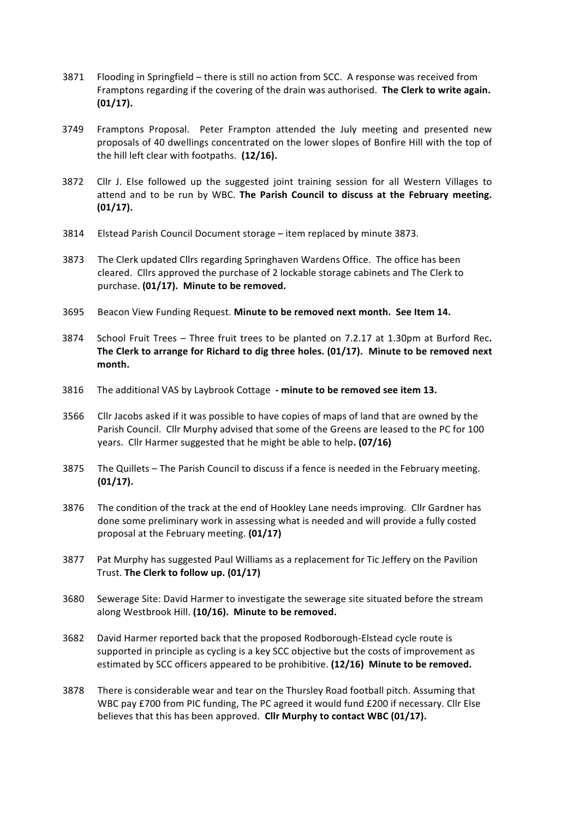- 3871 Flooding in Springfield there is still no action from SCC. A response was received from Framptons regarding if the covering of the drain was authorised. The Clerk to write again. **(01/17).**
- 3749 Framptons Proposal. Peter Frampton attended the July meeting and presented new proposals of 40 dwellings concentrated on the lower slopes of Bonfire Hill with the top of the hill left clear with footpaths. (12/16).
- 3872 Cllr J. Else followed up the suggested joint training session for all Western Villages to attend and to be run by WBC. The Parish Council to discuss at the February meeting. **(01/17).**
- 3814 Elstead Parish Council Document storage item replaced by minute 3873.
- 3873 The Clerk updated Cllrs regarding Springhaven Wardens Office. The office has been cleared. Clirs approved the purchase of 2 lockable storage cabinets and The Clerk to purchase. (01/17). Minute to be removed.
- 3695 Beacon View Funding Request. Minute to be removed next month. See Item 14.
- 3874 School Fruit Trees Three fruit trees to be planted on 7.2.17 at 1.30pm at Burford Rec. The Clerk to arrange for Richard to dig three holes. (01/17). Minute to be removed next **month.**
- 3816 The additional VAS by Laybrook Cottage minute to be removed see item 13.
- 3566 Cllr Jacobs asked if it was possible to have copies of maps of land that are owned by the Parish Council. Cllr Murphy advised that some of the Greens are leased to the PC for 100 years. Cllr Harmer suggested that he might be able to help. (07/16)
- 3875 The Quillets The Parish Council to discuss if a fence is needed in the February meeting. **(01/17).**
- 3876 The condition of the track at the end of Hookley Lane needs improving. Cllr Gardner has done some preliminary work in assessing what is needed and will provide a fully costed proposal at the February meeting. **(01/17)**
- 3877 Pat Murphy has suggested Paul Williams as a replacement for Tic Jeffery on the Pavilion Trust. **The Clerk to follow up. (01/17)**
- 3680 Sewerage Site: David Harmer to investigate the sewerage site situated before the stream along Westbrook Hill. (10/16). Minute to be removed.
- 3682 David Harmer reported back that the proposed Rodborough-Elstead cycle route is supported in principle as cycling is a key SCC objective but the costs of improvement as estimated by SCC officers appeared to be prohibitive. (12/16) Minute to be removed.
- 3878 There is considerable wear and tear on the Thursley Road football pitch. Assuming that WBC pay £700 from PIC funding, The PC agreed it would fund £200 if necessary. Cllr Else believes that this has been approved. Cllr Murphy to contact WBC (01/17).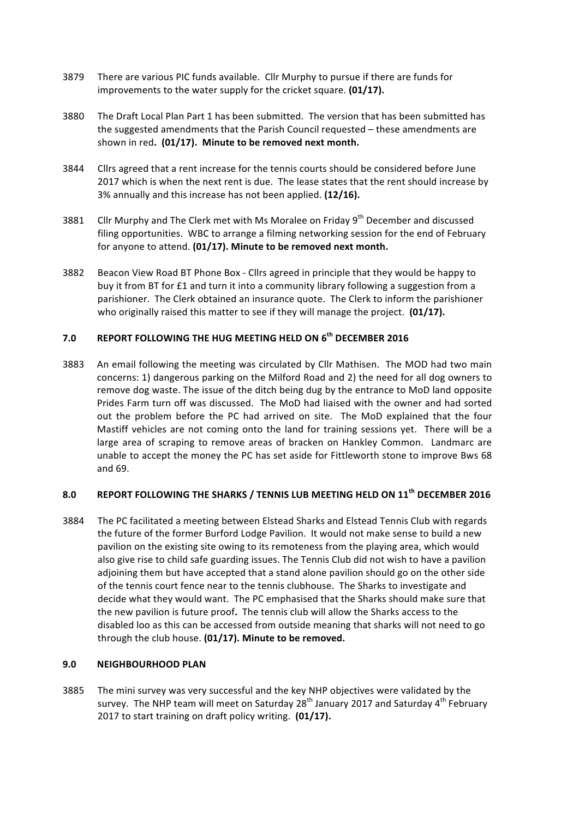- 3879 There are various PIC funds available. Cllr Murphy to pursue if there are funds for improvements to the water supply for the cricket square. **(01/17).**
- 3880 The Draft Local Plan Part 1 has been submitted. The version that has been submitted has the suggested amendments that the Parish Council requested – these amendments are shown in red. (01/17). Minute to be removed next month.
- 3844 Cllrs agreed that a rent increase for the tennis courts should be considered before June 2017 which is when the next rent is due. The lease states that the rent should increase by 3% annually and this increase has not been applied. (12/16).
- 3881 Cllr Murphy and The Clerk met with Ms Moralee on Friday 9<sup>th</sup> December and discussed filing opportunities. WBC to arrange a filming networking session for the end of February for anyone to attend. (01/17). Minute to be removed next month.
- 3882 Beacon View Road BT Phone Box Cllrs agreed in principle that they would be happy to buy it from BT for £1 and turn it into a community library following a suggestion from a parishioner. The Clerk obtained an insurance quote. The Clerk to inform the parishioner who originally raised this matter to see if they will manage the project. (01/17).

## **7.0 REPORT FOLLOWING THE HUG MEETING HELD ON 6th DECEMBER 2016**

3883 An email following the meeting was circulated by Cllr Mathisen. The MOD had two main concerns: 1) dangerous parking on the Milford Road and 2) the need for all dog owners to remove dog waste. The issue of the ditch being dug by the entrance to MoD land opposite Prides Farm turn off was discussed. The MoD had liaised with the owner and had sorted out the problem before the PC had arrived on site. The MoD explained that the four Mastiff vehicles are not coming onto the land for training sessions yet. There will be a large area of scraping to remove areas of bracken on Hankley Common. Landmarc are unable to accept the money the PC has set aside for Fittleworth stone to improve Bws 68 and 69.

## 8.0 REPORT FOLLOWING THE SHARKS / TENNIS LUB MEETING HELD ON 11<sup>th</sup> DECEMBER 2016

3884 The PC facilitated a meeting between Elstead Sharks and Elstead Tennis Club with regards the future of the former Burford Lodge Pavilion. It would not make sense to build a new pavilion on the existing site owing to its remoteness from the playing area, which would also give rise to child safe guarding issues. The Tennis Club did not wish to have a pavilion adjoining them but have accepted that a stand alone pavilion should go on the other side of the tennis court fence near to the tennis clubhouse. The Sharks to investigate and decide what they would want. The PC emphasised that the Sharks should make sure that the new pavilion is future proof. The tennis club will allow the Sharks access to the disabled loo as this can be accessed from outside meaning that sharks will not need to go through the club house. (01/17). Minute to be removed.

## **9.0 NEIGHBOURHOOD PLAN**

3885 The mini survey was very successful and the key NHP objectives were validated by the survey. The NHP team will meet on Saturday  $28<sup>th</sup>$  January 2017 and Saturday 4<sup>th</sup> February 2017 to start training on draft policy writing. (01/17).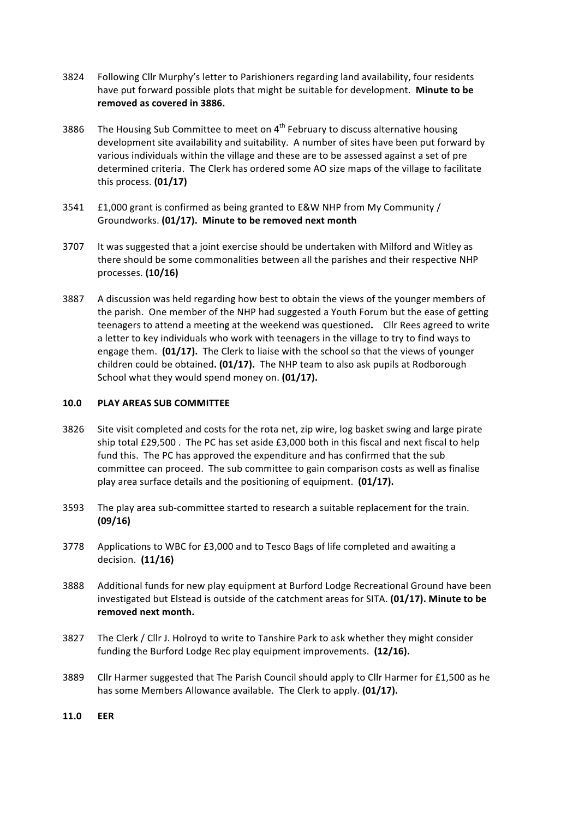- 3824 Following Cllr Murphy's letter to Parishioners regarding land availability, four residents have put forward possible plots that might be suitable for development. Minute to be removed as covered in 3886.
- 3886 The Housing Sub Committee to meet on  $4<sup>th</sup>$  February to discuss alternative housing development site availability and suitability. A number of sites have been put forward by various individuals within the village and these are to be assessed against a set of pre determined criteria. The Clerk has ordered some AO size maps of the village to facilitate this process. **(01/17)**
- 3541  $E1,000$  grant is confirmed as being granted to E&W NHP from My Community / Groundworks. (01/17). Minute to be removed next month
- 3707 It was suggested that a joint exercise should be undertaken with Milford and Witley as there should be some commonalities between all the parishes and their respective NHP processes. **(10/16)**
- 3887 A discussion was held regarding how best to obtain the views of the younger members of the parish. One member of the NHP had suggested a Youth Forum but the ease of getting teenagers to attend a meeting at the weekend was questioned. Cllr Rees agreed to write a letter to key individuals who work with teenagers in the village to try to find ways to engage them. **(01/17).** The Clerk to liaise with the school so that the views of younger children could be obtained. (01/17). The NHP team to also ask pupils at Rodborough School what they would spend money on. (01/17).

## **10.0 PLAY AREAS SUB COMMITTEE**

- 3826 Site visit completed and costs for the rota net, zip wire, log basket swing and large pirate ship total £29,500. The PC has set aside £3,000 both in this fiscal and next fiscal to help fund this. The PC has approved the expenditure and has confirmed that the sub committee can proceed. The sub committee to gain comparison costs as well as finalise play area surface details and the positioning of equipment. (01/17).
- 3593 The play area sub-committee started to research a suitable replacement for the train. **(09/16)**
- 3778 Applications to WBC for £3,000 and to Tesco Bags of life completed and awaiting a decision. (11/16)
- 3888 Additional funds for new play equipment at Burford Lodge Recreational Ground have been investigated but Elstead is outside of the catchment areas for SITA. (01/17). Minute to be removed next month.
- 3827 The Clerk / Cllr J. Holroyd to write to Tanshire Park to ask whether they might consider funding the Burford Lodge Rec play equipment improvements. (12/16).
- 3889 Cllr Harmer suggested that The Parish Council should apply to Cllr Harmer for £1,500 as he has some Members Allowance available. The Clerk to apply. (01/17).
- **11.0 EER**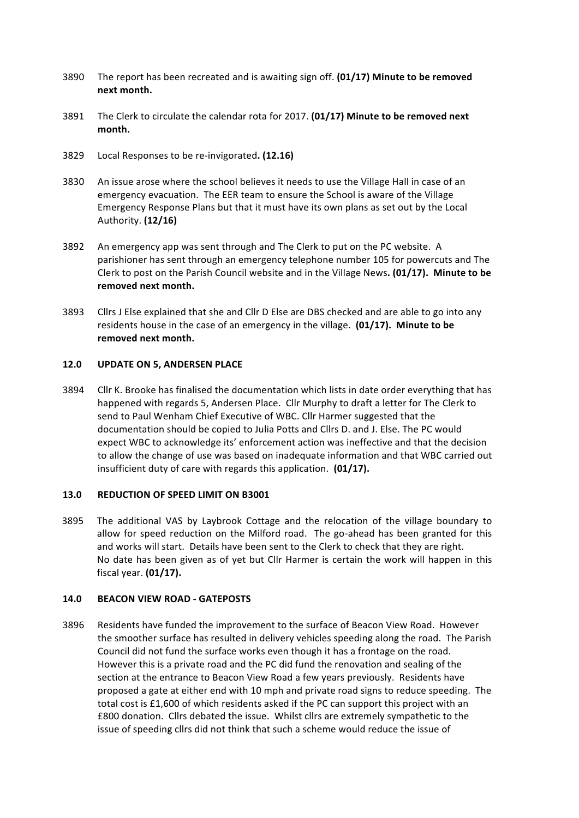- 3890 The report has been recreated and is awaiting sign off. (01/17) Minute to be removed **next month.**
- 3891 The Clerk to circulate the calendar rota for 2017. (01/17) Minute to be removed next **month.**
- 3829 Local Responses to be re-invigorated**. (12.16)**
- 3830 An issue arose where the school believes it needs to use the Village Hall in case of an emergency evacuation. The EER team to ensure the School is aware of the Village Emergency Response Plans but that it must have its own plans as set out by the Local Authority. **(12/16)**
- 3892 An emergency app was sent through and The Clerk to put on the PC website. A parishioner has sent through an emergency telephone number 105 for powercuts and The Clerk to post on the Parish Council website and in the Village News. (01/17). Minute to be removed next month.
- 3893 Cllrs J Else explained that she and Cllr D Else are DBS checked and are able to go into any residents house in the case of an emergency in the village. (01/17). Minute to be removed next month.

#### **12.0 UPDATE ON 5, ANDERSEN PLACE**

3894 Cllr K. Brooke has finalised the documentation which lists in date order everything that has happened with regards 5, Andersen Place. Cllr Murphy to draft a letter for The Clerk to send to Paul Wenham Chief Executive of WBC. Cllr Harmer suggested that the documentation should be copied to Julia Potts and Cllrs D. and J. Else. The PC would expect WBC to acknowledge its' enforcement action was ineffective and that the decision to allow the change of use was based on inadequate information and that WBC carried out insufficient duty of care with regards this application. **(01/17).** 

### 13.0 **REDUCTION OF SPEED LIMIT ON B3001**

3895 The additional VAS by Laybrook Cottage and the relocation of the village boundary to allow for speed reduction on the Milford road. The go-ahead has been granted for this and works will start. Details have been sent to the Clerk to check that they are right. No date has been given as of yet but Cllr Harmer is certain the work will happen in this fiscal year. **(01/17).**

#### **14.0 BEACON VIEW ROAD - GATEPOSTS**

3896 Residents have funded the improvement to the surface of Beacon View Road. However the smoother surface has resulted in delivery vehicles speeding along the road. The Parish Council did not fund the surface works even though it has a frontage on the road. However this is a private road and the PC did fund the renovation and sealing of the section at the entrance to Beacon View Road a few years previously. Residents have proposed a gate at either end with 10 mph and private road signs to reduce speeding. The total cost is £1,600 of which residents asked if the PC can support this project with an £800 donation. Cllrs debated the issue. Whilst cllrs are extremely sympathetic to the issue of speeding cllrs did not think that such a scheme would reduce the issue of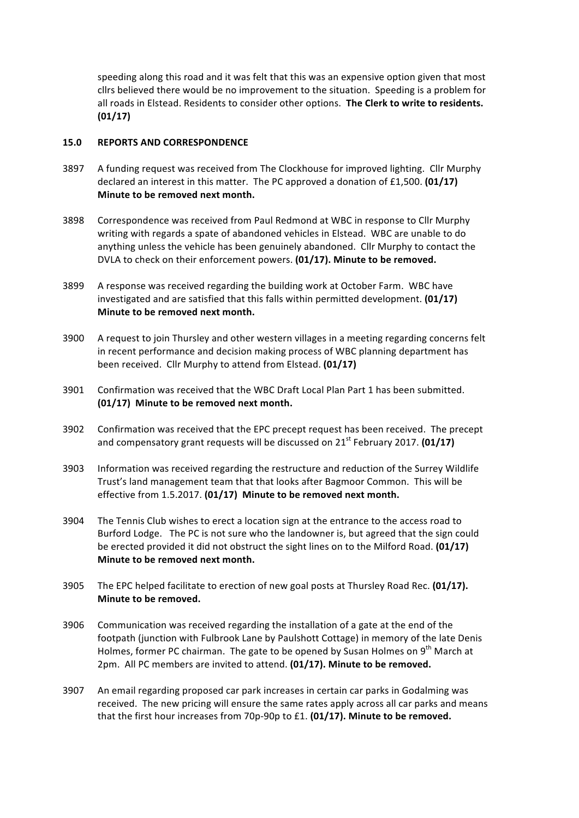speeding along this road and it was felt that this was an expensive option given that most cllrs believed there would be no improvement to the situation. Speeding is a problem for all roads in Elstead. Residents to consider other options. The Clerk to write to residents. **(01/17)**

#### **15.0 REPORTS AND CORRESPONDENCE**

- 3897 A funding request was received from The Clockhouse for improved lighting. Cllr Murphy declared an interest in this matter. The PC approved a donation of £1,500.  $(01/17)$ **Minute to be removed next month.**
- 3898 Correspondence was received from Paul Redmond at WBC in response to Cllr Murphy writing with regards a spate of abandoned vehicles in Elstead. WBC are unable to do anything unless the vehicle has been genuinely abandoned. Cllr Murphy to contact the DVLA to check on their enforcement powers. (01/17). Minute to be removed.
- 3899 A response was received regarding the building work at October Farm. WBC have investigated and are satisfied that this falls within permitted development. **(01/17) Minute to be removed next month.**
- 3900 A request to join Thursley and other western villages in a meeting regarding concerns felt in recent performance and decision making process of WBC planning department has been received. Cllr Murphy to attend from Elstead. (01/17)
- 3901 Confirmation was received that the WBC Draft Local Plan Part 1 has been submitted. **(01/17)** Minute to be removed next month.
- 3902 Confirmation was received that the EPC precept request has been received. The precept and compensatory grant requests will be discussed on 21<sup>st</sup> February 2017. (01/17)
- 3903 Information was received regarding the restructure and reduction of the Surrey Wildlife Trust's land management team that that looks after Bagmoor Common. This will be effective from 1.5.2017. (01/17) Minute to be removed next month.
- 3904 The Tennis Club wishes to erect a location sign at the entrance to the access road to Burford Lodge. The PC is not sure who the landowner is, but agreed that the sign could be erected provided it did not obstruct the sight lines on to the Milford Road. (01/17) **Minute to be removed next month.**
- 3905 The EPC helped facilitate to erection of new goal posts at Thursley Road Rec. (01/17). **Minute to be removed.**
- 3906 Communication was received regarding the installation of a gate at the end of the footpath (junction with Fulbrook Lane by Paulshott Cottage) in memory of the late Denis Holmes, former PC chairman. The gate to be opened by Susan Holmes on 9<sup>th</sup> March at 2pm. All PC members are invited to attend. **(01/17). Minute to be removed.**
- 3907 An email regarding proposed car park increases in certain car parks in Godalming was received. The new pricing will ensure the same rates apply across all car parks and means that the first hour increases from 70p-90p to £1. (01/17). Minute to be removed.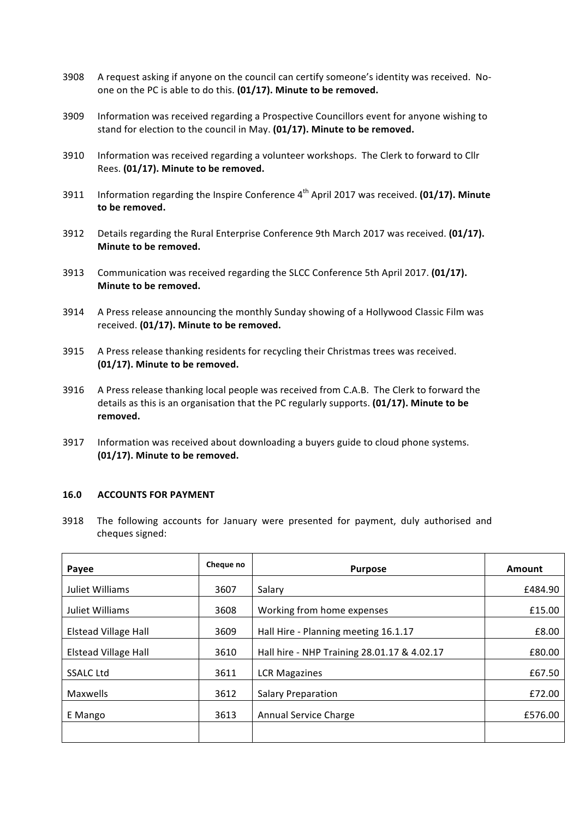- 3908 A request asking if anyone on the council can certify someone's identity was received. Noone on the PC is able to do this. (01/17). Minute to be removed.
- 3909 Information was received regarding a Prospective Councillors event for anyone wishing to stand for election to the council in May. (01/17). Minute to be removed.
- 3910 Information was received regarding a volunteer workshops. The Clerk to forward to Cllr Rees. (01/17). Minute to be removed.
- 3911 Information regarding the Inspire Conference 4<sup>th</sup> April 2017 was received. (01/17). Minute to be removed.
- 3912 Details regarding the Rural Enterprise Conference 9th March 2017 was received. (01/17). **Minute to be removed.**
- 3913 Communication was received regarding the SLCC Conference 5th April 2017. **(01/17). Minute to be removed.**
- 3914 A Press release announcing the monthly Sunday showing of a Hollywood Classic Film was received. (01/17). Minute to be removed.
- 3915 A Press release thanking residents for recycling their Christmas trees was received. **(01/17).** Minute to be removed.
- 3916 A Press release thanking local people was received from C.A.B. The Clerk to forward the details as this is an organisation that the PC regularly supports. **(01/17). Minute to be removed.**
- 3917 Information was received about downloading a buyers guide to cloud phone systems. **(01/17).** Minute to be removed.

### **16.0 ACCOUNTS FOR PAYMENT**

3918 The following accounts for January were presented for payment, duly authorised and cheques signed:

| Payee                       | Cheque no | <b>Purpose</b>                              | Amount  |
|-----------------------------|-----------|---------------------------------------------|---------|
| Juliet Williams             | 3607      | Salary                                      | £484.90 |
| Juliet Williams             | 3608      | Working from home expenses                  | £15.00  |
| <b>Elstead Village Hall</b> | 3609      | Hall Hire - Planning meeting 16.1.17        | £8.00   |
| Elstead Village Hall        | 3610      | Hall hire - NHP Training 28.01.17 & 4.02.17 | £80.00  |
| <b>SSALC Ltd</b>            | 3611      | <b>LCR Magazines</b>                        | £67.50  |
| Maxwells                    | 3612      | <b>Salary Preparation</b>                   | £72.00  |
| E Mango                     | 3613      | Annual Service Charge                       | £576.00 |
|                             |           |                                             |         |